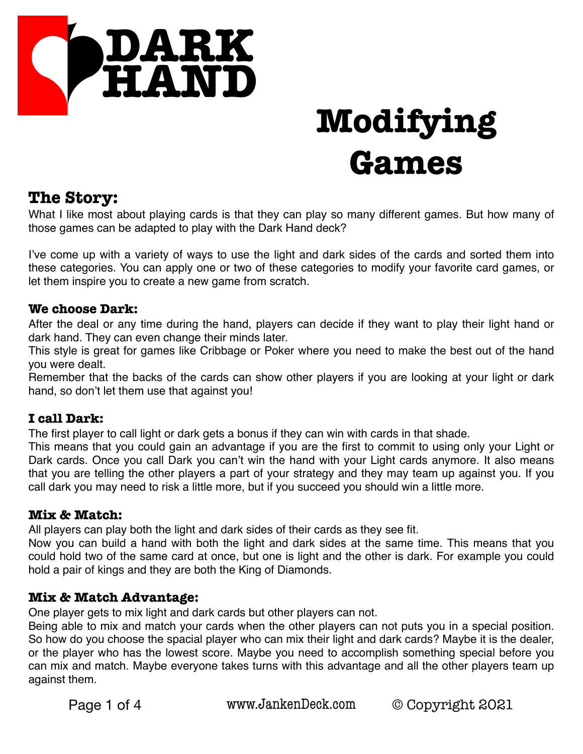

## **The Story:**

What I like most about playing cards is that they can play so many different games. But how many of those games can be adapted to play with the Dark Hand deck?

I've come up with a variety of ways to use the light and dark sides of the cards and sorted them into these categories. You can apply one or two of these categories to modify your favorite card games, or let them inspire you to create a new game from scratch.

#### **We choose Dark:**

After the deal or any time during the hand, players can decide if they want to play their light hand or dark hand. They can even change their minds later.

This style is great for games like Cribbage or Poker where you need to make the best out of the hand you were dealt.

Remember that the backs of the cards can show other players if you are looking at your light or dark hand, so don't let them use that against you!

#### **I call Dark:**

The first player to call light or dark gets a bonus if they can win with cards in that shade.

This means that you could gain an advantage if you are the first to commit to using only your Light or Dark cards. Once you call Dark you can't win the hand with your Light cards anymore. It also means that you are telling the other players a part of your strategy and they may team up against you. If you call dark you may need to risk a little more, but if you succeed you should win a little more.

#### **Mix & Match:**

All players can play both the light and dark sides of their cards as they see fit.

Now you can build a hand with both the light and dark sides at the same time. This means that you could hold two of the same card at once, but one is light and the other is dark. For example you could hold a pair of kings and they are both the King of Diamonds.

#### **Mix & Match Advantage:**

One player gets to mix light and dark cards but other players can not.

Being able to mix and match your cards when the other players can not puts you in a special position. So how do you choose the spacial player who can mix their light and dark cards? Maybe it is the dealer, or the player who has the lowest score. Maybe you need to accomplish something special before you can mix and match. Maybe everyone takes turns with this advantage and all the other players team up against them.

Page 1 of 4 www.JankenDeck.com © Copyright 2021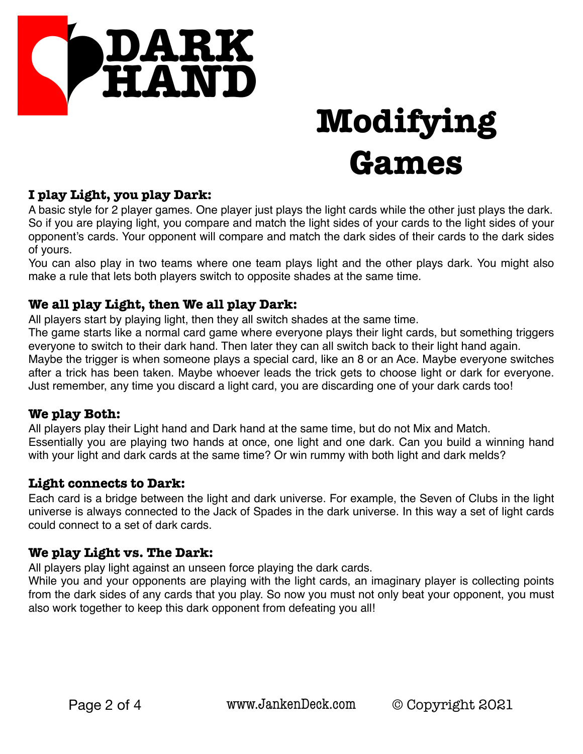

### **I play Light, you play Dark:**

A basic style for 2 player games. One player just plays the light cards while the other just plays the dark. So if you are playing light, you compare and match the light sides of your cards to the light sides of your opponent's cards. Your opponent will compare and match the dark sides of their cards to the dark sides of yours.

You can also play in two teams where one team plays light and the other plays dark. You might also make a rule that lets both players switch to opposite shades at the same time.

#### **We all play Light, then We all play Dark:**

All players start by playing light, then they all switch shades at the same time.

The game starts like a normal card game where everyone plays their light cards, but something triggers everyone to switch to their dark hand. Then later they can all switch back to their light hand again. Maybe the trigger is when someone plays a special card, like an 8 or an Ace. Maybe everyone switches after a trick has been taken. Maybe whoever leads the trick gets to choose light or dark for everyone. Just remember, any time you discard a light card, you are discarding one of your dark cards too!

#### **We play Both:**

All players play their Light hand and Dark hand at the same time, but do not Mix and Match. Essentially you are playing two hands at once, one light and one dark. Can you build a winning hand with your light and dark cards at the same time? Or win rummy with both light and dark melds?

#### **Light connects to Dark:**

Each card is a bridge between the light and dark universe. For example, the Seven of Clubs in the light universe is always connected to the Jack of Spades in the dark universe. In this way a set of light cards could connect to a set of dark cards.

#### **We play Light vs. The Dark:**

All players play light against an unseen force playing the dark cards.

While you and your opponents are playing with the light cards, an imaginary player is collecting points from the dark sides of any cards that you play. So now you must not only beat your opponent, you must also work together to keep this dark opponent from defeating you all!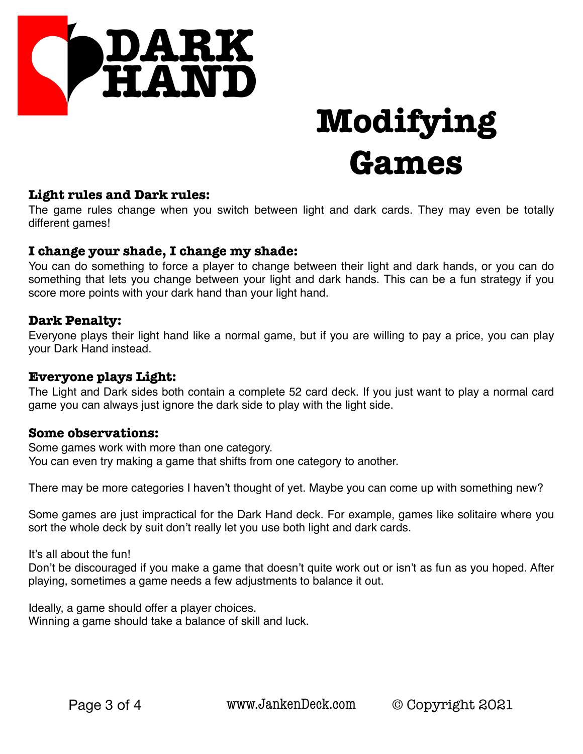

#### **Light rules and Dark rules:**

The game rules change when you switch between light and dark cards. They may even be totally different games!

#### **I change your shade, I change my shade:**

You can do something to force a player to change between their light and dark hands, or you can do something that lets you change between your light and dark hands. This can be a fun strategy if you score more points with your dark hand than your light hand.

#### **Dark Penalty:**

Everyone plays their light hand like a normal game, but if you are willing to pay a price, you can play your Dark Hand instead.

#### **Everyone plays Light:**

The Light and Dark sides both contain a complete 52 card deck. If you just want to play a normal card game you can always just ignore the dark side to play with the light side.

#### **Some observations:**

Some games work with more than one category. You can even try making a game that shifts from one category to another.

There may be more categories I haven't thought of yet. Maybe you can come up with something new?

Some games are just impractical for the Dark Hand deck. For example, games like solitaire where you sort the whole deck by suit don't really let you use both light and dark cards.

It's all about the fun!

Don't be discouraged if you make a game that doesn't quite work out or isn't as fun as you hoped. After playing, sometimes a game needs a few adjustments to balance it out.

Ideally, a game should offer a player choices. Winning a game should take a balance of skill and luck.

Page 3 of 4 www.JankenDeck.com © Copyright 2021